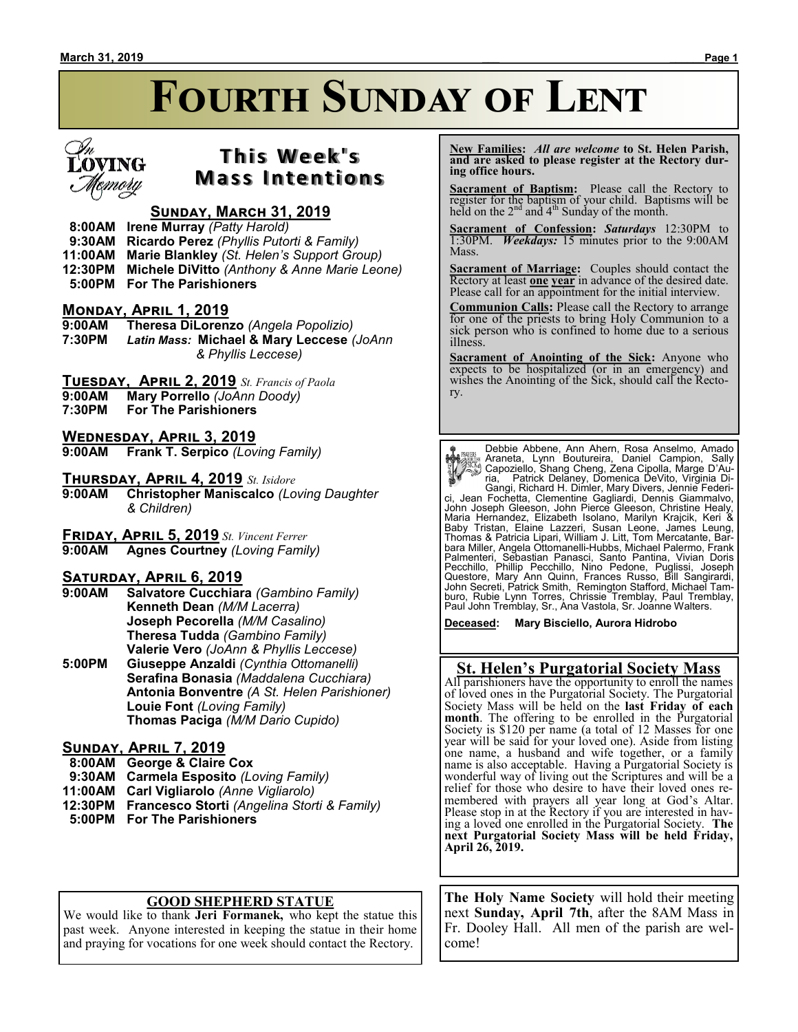# **Fourth Sunday of Lent**



## **T h i s We e k ' s Mass Intentions**

### **Sunday, March 31, 2019**

 **8:00AM Irene Murray** *(Patty Harold)*

 **9:30AM Ricardo Perez** *(Phyllis Putorti & Family)*

**11:00AM Marie Blankley** *(St. Helen's Support Group)*

**12:30PM Michele DiVitto** *(Anthony & Anne Marie Leone)*

 **5:00PM For The Parishioners**

#### **Monday, April 1, 2019**

**9:00AM Theresa DiLorenzo** *(Angela Popolizio)* **7:30PM** *Latin Mass:* **Michael & Mary Leccese** *(JoAnn & Phyllis Leccese)*

**Tuesday, April 2, 2019** *St. Francis of Paola*

- **9:00AM Mary Porrello** *(JoAnn Doody)*
- **For The Parishioners**

**WEDNESDAY, APRIL 3, 2019**<br>9:00AM Frank T. Serpico (Lov

**Frank T. Serpico** *(Loving Family)* 

**Thursday, April 4, 2019** *St. Isidore*

**9:00AM Christopher Maniscalco** *(Loving Daughter & Children)*

**Friday, April 5, 2019** *St. Vincent Ferrer*

**Agnes Courtney** *(Loving Family)* 

#### **Saturday, April 6, 2019**

- **9:00AM Salvatore Cucchiara** *(Gambino Family)* **Kenneth Dean** *(M/M Lacerra)* **Joseph Pecorella** *(M/M Casalino)* **Theresa Tudda** *(Gambino Family)* **Valerie Vero** *(JoAnn & Phyllis Leccese)*
- **5:00PM Giuseppe Anzaldi** *(Cynthia Ottomanelli)* **Serafina Bonasia** *(Maddalena Cucchiara)* **Antonia Bonventre** *(A St. Helen Parishioner)* **Louie Font** *(Loving Family)* **Thomas Paciga** *(M/M Dario Cupido)*

#### **Sunday, April 7, 2019**

 **8:00AM George & Claire Cox**

 **9:30AM Carmela Esposito** *(Loving Family)*

- **11:00AM Carl Vigliarolo** *(Anne Vigliarolo)*
- **12:30PM Francesco Storti** *(Angelina Storti & Family)*
- **5:00PM For The Parishioners**

#### **GOOD SHEPHERD STATUE**

We would like to thank **Jeri Formanek,** who kept the statue this past week. Anyone interested in keeping the statue in their home and praying for vocations for one week should contact the Rectory.

 **New Families:** *All are welcome* **to St. Helen Parish, and are asked to please register at the Rectory during office hours.**

**Sacrament of Baptism:** Please call the Rectory to register for the baptism of your child. Baptisms will be held on the  $2<sup>nd</sup>$  and  $4<sup>th</sup>$  Sunday of the month.

**Sacrament of Confession:** *Saturdays* 12:30PM to 1:30PM. *Weekdays:* 15 minutes prior to the 9:00AM Mass.

**Sacrament of Marriage:**Couples should contact the Rectory at least **one year** in advance of the desired date. Please call for an appointment for the initial interview.

**Communion Calls:** Please call the Rectory to arrange for one of the priests to bring Holy Communion to a sick person who is confined to home due to a serious illness.

**Sacrament of Anointing of the Sick:** Anyone who expects to be hospitalized (or in an emergency) and wishes the Anointing of the Sick, should call the Rectory.

Debbie Abbene, Ann Ahern, Rosa Anselmo, Amado<br>Araneta, Lynn Boutureira, Daniel Campion, Sally<br>Capoziello, Shang Cheng, Zena Cipolla, Marge D'Au-<br>ria, Patrick Delaney, Domenica DeVito, Virginia Di-Gangi, Richard H. Dimler, Mary Divers, Jennie Federici, Jean Fochetta, Clementine Gagliardi, Dennis Giammalvo, John Joseph Gleeson, John Pierce Gleeson, Christine Healy, Maria Hernandez, Elizabeth Isolano, Marilyn Krajcik, Keri &<br>Baby Tristan, Elaine Lazzeri, Susan Leone, James Leung,<br>Thomas & Patricia Lipari, William J. Litt, Tom Mercatante, Bar-<br>bara Miller, Angela Ottomanelli-Hubbs, Mic

**Deceased: Mary Bisciello, Aurora Hidrobo**

#### **St. Helen's Purgatorial Society Mass**

All parishioners have the opportunity to enroll the names of loved ones in the Purgatorial Society. The Purgatorial Society Mass will be held on the **last Friday of each month**. The offering to be enrolled in the Purgatorial Society is \$120 per name (a total of 12 Masses for one year will be said for your loved one). Aside from listing one name, a husband and wife together, or a family name is also acceptable. Having a Purgatorial Society is wonderful way of living out the Scriptures and will be a relief for those who desire to have their loved ones remembered with prayers all year long at God's Altar. Please stop in at the Rectory if you are interested in having a loved one enrolled in the Purgatorial Society. **The next Purgatorial Society Mass will be held Friday, April 26, 2019.**

**The Holy Name Society** will hold their meeting next **Sunday, April 7th**, after the 8AM Mass in Fr. Dooley Hall. All men of the parish are welcome!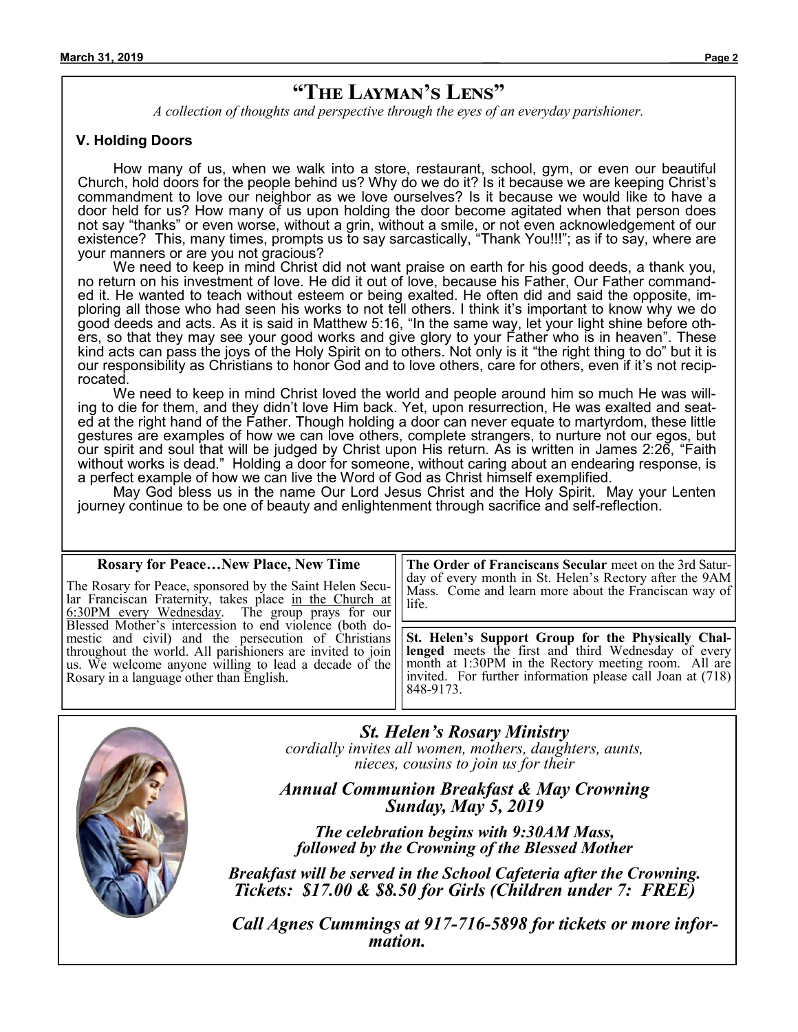## **"The Layman's Lens"**

*A collection of thoughts and perspective through the eyes of an everyday parishioner.*

#### **V. Holding Doors**

How many of us, when we walk into a store, restaurant, school, gym, or even our beautiful Church, hold doors for the people behind us? Why do we do it? Is it because we are keeping Christ's commandment to love our neighbor as we love ourselves? Is it because we would like to have a door held for us? How many of us upon holding the door become agitated when that person does not say "thanks" or even worse, without a grin, without a smile, or not even acknowledgement of our existence? This, many times, prompts us to say sarcastically, "Thank You!!!"; as if to say, where are your manners or are you not gracious?

We need to keep in mind Christ did not want praise on earth for his good deeds, a thank you, no return on his investment of love. He did it out of love, because his Father, Our Father commanded it. He wanted to teach without esteem or being exalted. He often did and said the opposite, imploring all those who had seen his works to not tell others. I think it's important to know why we do good deeds and acts. As it is said in Matthew 5:16, "In the same way, let your light shine before others, so that they may see your good works and give glory to your Father who is in heaven". These kind acts can pass the joys of the Holy Spirit on to others. Not only is it "the right thing to do" but it is our responsibility as Christians to honor God and to love others, care for others, even if it's not reciprocated.

We need to keep in mind Christ loved the world and people around him so much He was willing to die for them, and they didn't love Him back. Yet, upon resurrection, He was exalted and seated at the right hand of the Father. Though holding a door can never equate to martyrdom, these little gestures are examples of how we can love others, complete strangers, to nurture not our egos, but our spirit and soul that will be judged by Christ upon His return. As is written in James 2:26, "Faith without works is dead." Holding a door for someone, without caring about an endearing response, is a perfect example of how we can live the Word of God as Christ himself exemplified.

May God bless us in the name Our Lord Jesus Christ and the Holy Spirit. May your Lenten journey continue to be one of beauty and enlightenment through sacrifice and self-reflection.

| <b>Rosary for Peace New Place, New Time</b>                | The Order of Franciscans Secular meet on the 3rd Satur-    |
|------------------------------------------------------------|------------------------------------------------------------|
| The Rosary for Peace, sponsored by the Saint Helen Secu-   | day of every month in St. Helen's Rectory after the 9AM    |
| lar Franciscan Fraternity, takes place in the Church at    | Mass. Come and learn more about the Franciscan way of      |
| 6:30PM every Wednesday. The group prays for our            | life.                                                      |
| Blessed Mother's intercession to end violence (both do-    | St. Helen's Support Group for the Physically Chal-         |
| mestic and civil) and the persecution of Christians        | lenged meets the first and third Wednesday of every        |
| throughout the world. All parishioners are invited to join | month at 1:30PM in the Rectory meeting room. All are       |
| us. We welcome anyone willing to lead a decade of the      | invited. For further information please call Joan at (718) |
| Rosary in a language other than English.                   | 848-9173.                                                  |



*St. Helen's Rosary Ministry*

*cordially invites all women, mothers, daughters, aunts, nieces, cousins to join us for their*

*Annual Communion Breakfast & May Crowning Sunday, May 5, 2019*

*The celebration begins with 9:30AM Mass, followed by the Crowning of the Blessed Mother*

*Breakfast will be served in the School Cafeteria after the Crowning. Tickets: \$17.00 & \$8.50 for Girls (Children under 7: FREE)*

 *Call Agnes Cummings at 917-716-5898 for tickets or more information.*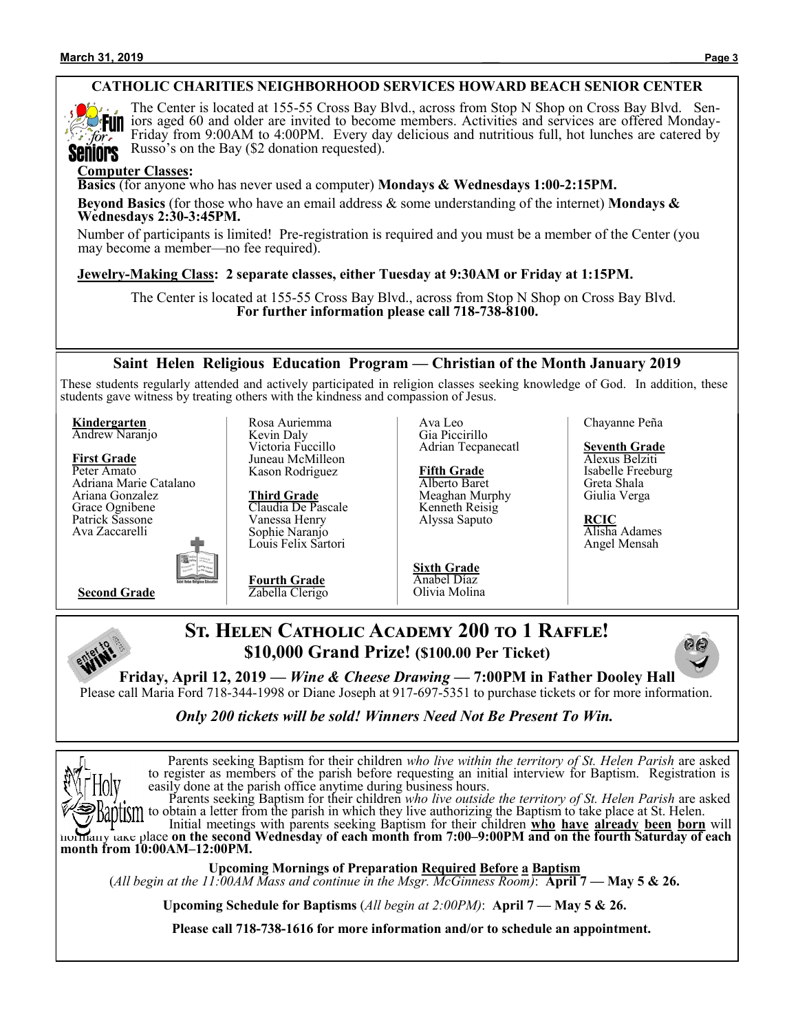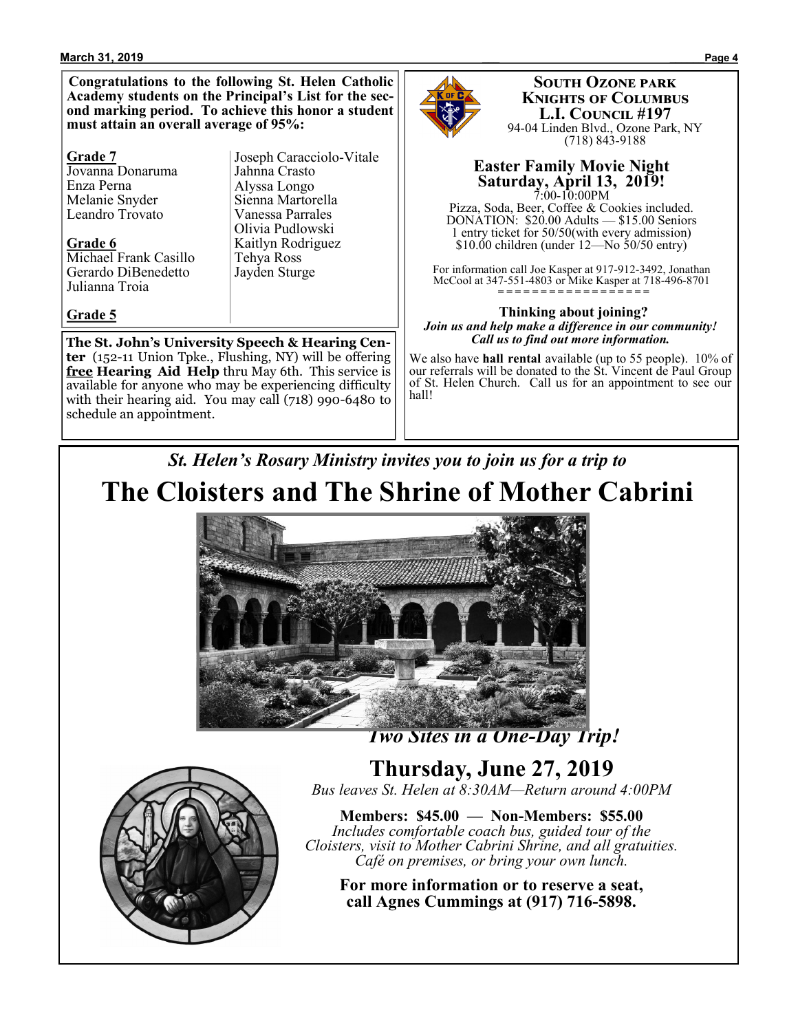#### **March 31, 2019 \_\_\_ \_\_\_\_\_\_Page 4**

**Congratulations to the following St. Helen Catholic Academy students on the Principal's List for the second marking period. To achieve this honor a student must attain an overall average of 95%:**

#### **Grade 7**

Jovanna Donaruma Enza Perna Melanie Snyder Leandro Trovato

**Grade 6** Michael Frank Casillo Gerardo DiBenedetto Julianna Troia

#### **Grade 5**

Joseph Caracciolo-Vitale Jahnna Crasto Alyssa Longo Sienna Martorella Vanessa Parrales Olivia Pudlowski Kaitlyn Rodriguez Tehya Ross Jayden Sturge

**The St. John's University Speech & Hearing Center** (152-11 Union Tpke., Flushing, NY) will be offering **free Hearing Aid Help** thru May 6th. This service is available for anyone who may be experiencing difficulty with their hearing aid. You may call (718) 990-6480 to schedule an appointment.



**South Ozone park Knights of Columbus L.I. Council #197** 94-04 Linden Blvd., Ozone Park, NY (718) 843-9188

#### **Easter Family Movie Night Saturday, April 13, 2019!** 7:00-10:00PM

Pizza, Soda, Beer, Coffee & Cookies included. DONATION: \$20.00 Adults — \$15.00 Seniors 1 entry ticket for 50/50(with every admission)  $$10.00$  children (under 12—No 50/50 entry)

For information call Joe Kasper at 917-912-3492, Jonathan McCool at 347-551-4803 or Mike Kasper at 718-496-8701 **= = = = = = = = = = = = = = = = = =** 

#### **Thinking about joining?** *Join us and help make a difference in our community! Call us to find out more information.*

We also have **hall rental** available (up to 55 people). 10% of our referrals will be donated to the St. Vincent de Paul Group of St. Helen Church. Call us for an appointment to see our hall!

## *St. Helen's Rosary Ministry invites you to join us for a trip to* **The Cloisters and The Shrine of Mother Cabrini**



 *Two Sites in a One-Day Trip!*



**Thursday, June 27, 2019** *Bus leaves St. Helen at 8:30AM—Return around 4:00PM*

**Members: \$45.00 — Non-Members: \$55.00** *Includes comfortable coach bus, guided tour of the Cloisters, visit to Mother Cabrini Shrine, and all gratuities. Café on premises, or bring your own lunch.*

**For more information or to reserve a seat, call Agnes Cummings at (917) 716-5898.**